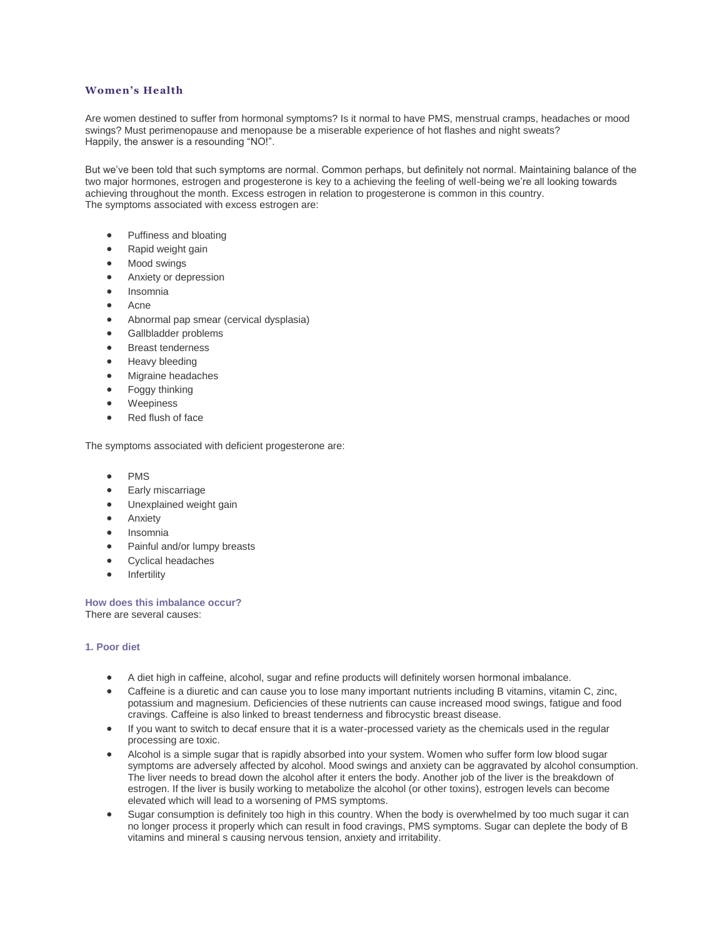# **Women's Health**

Are women destined to suffer from hormonal symptoms? Is it normal to have PMS, menstrual cramps, headaches or mood swings? Must perimenopause and menopause be a miserable experience of hot flashes and night sweats? Happily, the answer is a resounding "NO!".

But we've been told that such symptoms are normal. Common perhaps, but definitely not normal. Maintaining balance of the two major hormones, estrogen and progesterone is key to a achieving the feeling of well-being we're all looking towards achieving throughout the month. Excess estrogen in relation to progesterone is common in this country. The symptoms associated with excess estrogen are:

- Puffiness and bloating
- Rapid weight gain
- Mood swings
- Anxiety or depression
- Insomnia
- Acne
- Abnormal pap smear (cervical dysplasia)
- Gallbladder problems
- Breast tenderness
- Heavy bleeding
- Migraine headaches
- Foggy thinking
- Weepiness
- Red flush of face

The symptoms associated with deficient progesterone are:

- PMS
- Early miscarriage
- Unexplained weight gain
- Anxiety
- Insomnia
- Painful and/or lumpy breasts
- Cyclical headaches
- Infertility

**How does this imbalance occur?** There are several causes:

#### **1. Poor diet**

- A diet high in caffeine, alcohol, sugar and refine products will definitely worsen hormonal imbalance.
- Caffeine is a diuretic and can cause you to lose many important nutrients including B vitamins, vitamin C, zinc, potassium and magnesium. Deficiencies of these nutrients can cause increased mood swings, fatigue and food cravings. Caffeine is also linked to breast tenderness and fibrocystic breast disease.
- If you want to switch to decaf ensure that it is a water-processed variety as the chemicals used in the regular processing are toxic.
- Alcohol is a simple sugar that is rapidly absorbed into your system. Women who suffer form low blood sugar symptoms are adversely affected by alcohol. Mood swings and anxiety can be aggravated by alcohol consumption. The liver needs to bread down the alcohol after it enters the body. Another job of the liver is the breakdown of estrogen. If the liver is busily working to metabolize the alcohol (or other toxins), estrogen levels can become elevated which will lead to a worsening of PMS symptoms.
- Sugar consumption is definitely too high in this country. When the body is overwhelmed by too much sugar it can no longer process it properly which can result in food cravings, PMS symptoms. Sugar can deplete the body of B vitamins and mineral s causing nervous tension, anxiety and irritability.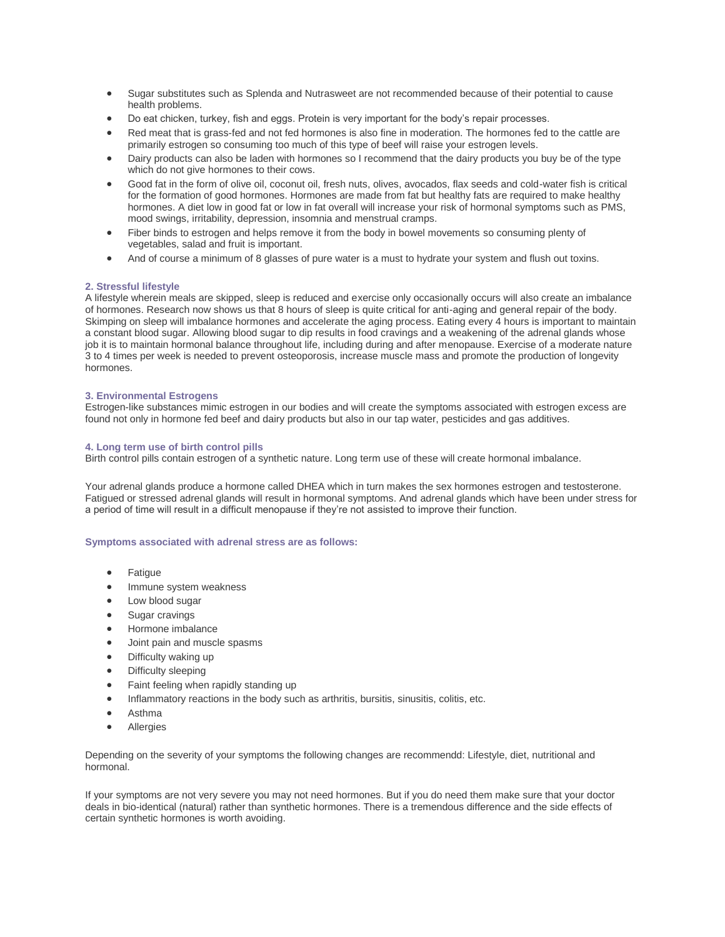- Sugar substitutes such as Splenda and Nutrasweet are not recommended because of their potential to cause health problems.
- Do eat chicken, turkey, fish and eggs. Protein is very important for the body's repair processes.
- Red meat that is grass-fed and not fed hormones is also fine in moderation. The hormones fed to the cattle are primarily estrogen so consuming too much of this type of beef will raise your estrogen levels.
- Dairy products can also be laden with hormones so I recommend that the dairy products you buy be of the type which do not give hormones to their cows.
- Good fat in the form of olive oil, coconut oil, fresh nuts, olives, avocados, flax seeds and cold-water fish is critical for the formation of good hormones. Hormones are made from fat but healthy fats are required to make healthy hormones. A diet low in good fat or low in fat overall will increase your risk of hormonal symptoms such as PMS, mood swings, irritability, depression, insomnia and menstrual cramps.
- Fiber binds to estrogen and helps remove it from the body in bowel movements so consuming plenty of vegetables, salad and fruit is important.
- And of course a minimum of 8 glasses of pure water is a must to hydrate your system and flush out toxins.

## **2. Stressful lifestyle**

A lifestyle wherein meals are skipped, sleep is reduced and exercise only occasionally occurs will also create an imbalance of hormones. Research now shows us that 8 hours of sleep is quite critical for anti-aging and general repair of the body. Skimping on sleep will imbalance hormones and accelerate the aging process. Eating every 4 hours is important to maintain a constant blood sugar. Allowing blood sugar to dip results in food cravings and a weakening of the adrenal glands whose job it is to maintain hormonal balance throughout life, including during and after menopause. Exercise of a moderate nature 3 to 4 times per week is needed to prevent osteoporosis, increase muscle mass and promote the production of longevity hormones.

### **3. Environmental Estrogens**

Estrogen-like substances mimic estrogen in our bodies and will create the symptoms associated with estrogen excess are found not only in hormone fed beef and dairy products but also in our tap water, pesticides and gas additives.

### **4. Long term use of birth control pills**

Birth control pills contain estrogen of a synthetic nature. Long term use of these will create hormonal imbalance.

Your adrenal glands produce a hormone called DHEA which in turn makes the sex hormones estrogen and testosterone. Fatigued or stressed adrenal glands will result in hormonal symptoms. And adrenal glands which have been under stress for a period of time will result in a difficult menopause if they're not assisted to improve their function.

## **Symptoms associated with adrenal stress are as follows:**

- Fatigue
- Immune system weakness
- Low blood sugar
- Sugar cravings
- Hormone imbalance
- Joint pain and muscle spasms
- Difficulty waking up
- Difficulty sleeping
- Faint feeling when rapidly standing up
- Inflammatory reactions in the body such as arthritis, bursitis, sinusitis, colitis, etc.
- Asthma
- **•** Allergies

Depending on the severity of your symptoms the following changes are recommendd: Lifestyle, diet, nutritional and hormonal.

If your symptoms are not very severe you may not need hormones. But if you do need them make sure that your doctor deals in bio-identical (natural) rather than synthetic hormones. There is a tremendous difference and the side effects of certain synthetic hormones is worth avoiding.